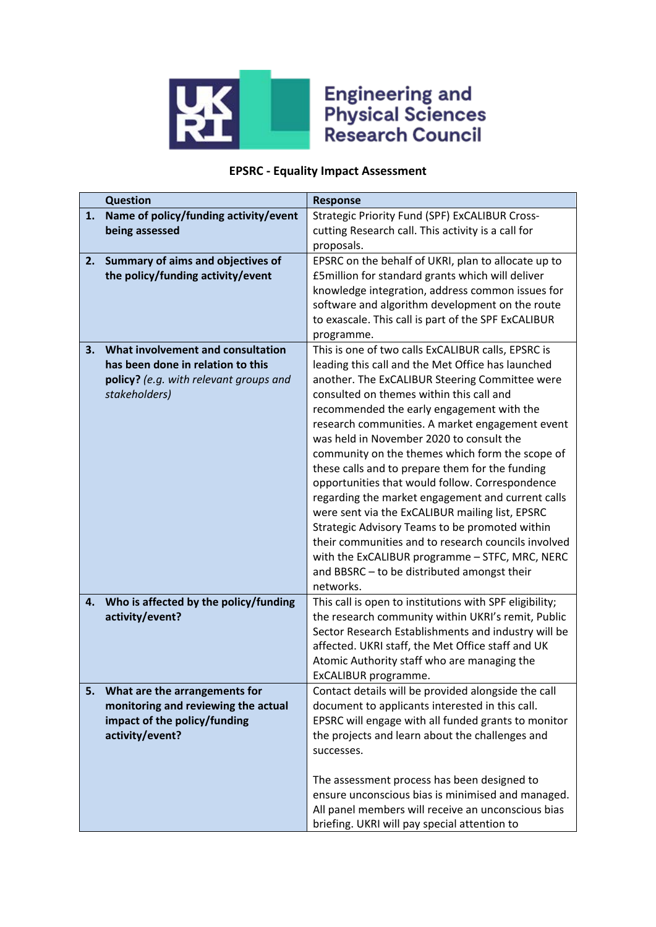

## **Engineering and<br>Physical Sciences<br>Research Council**

## **EPSRC - Equality Impact Assessment**

|    | <b>Question</b>                                                                                                                   | <b>Response</b>                                                                                                                                                                                                                                                                                                                                                                                                                                                                                                                                                                                                                                                                                                                                                                                                                           |
|----|-----------------------------------------------------------------------------------------------------------------------------------|-------------------------------------------------------------------------------------------------------------------------------------------------------------------------------------------------------------------------------------------------------------------------------------------------------------------------------------------------------------------------------------------------------------------------------------------------------------------------------------------------------------------------------------------------------------------------------------------------------------------------------------------------------------------------------------------------------------------------------------------------------------------------------------------------------------------------------------------|
| 1. | Name of policy/funding activity/event<br>being assessed                                                                           | <b>Strategic Priority Fund (SPF) ExCALIBUR Cross-</b><br>cutting Research call. This activity is a call for<br>proposals.                                                                                                                                                                                                                                                                                                                                                                                                                                                                                                                                                                                                                                                                                                                 |
| 2. | Summary of aims and objectives of<br>the policy/funding activity/event                                                            | EPSRC on the behalf of UKRI, plan to allocate up to<br>£5million for standard grants which will deliver<br>knowledge integration, address common issues for<br>software and algorithm development on the route<br>to exascale. This call is part of the SPF ExCALIBUR<br>programme.                                                                                                                                                                                                                                                                                                                                                                                                                                                                                                                                                       |
| 3. | What involvement and consultation<br>has been done in relation to this<br>policy? (e.g. with relevant groups and<br>stakeholders) | This is one of two calls ExCALIBUR calls, EPSRC is<br>leading this call and the Met Office has launched<br>another. The ExCALIBUR Steering Committee were<br>consulted on themes within this call and<br>recommended the early engagement with the<br>research communities. A market engagement event<br>was held in November 2020 to consult the<br>community on the themes which form the scope of<br>these calls and to prepare them for the funding<br>opportunities that would follow. Correspondence<br>regarding the market engagement and current calls<br>were sent via the ExCALIBUR mailing list, EPSRC<br>Strategic Advisory Teams to be promoted within<br>their communities and to research councils involved<br>with the ExCALIBUR programme - STFC, MRC, NERC<br>and BBSRC - to be distributed amongst their<br>networks. |
| 4. | Who is affected by the policy/funding<br>activity/event?                                                                          | This call is open to institutions with SPF eligibility;<br>the research community within UKRI's remit, Public<br>Sector Research Establishments and industry will be<br>affected. UKRI staff, the Met Office staff and UK<br>Atomic Authority staff who are managing the<br>ExCALIBUR programme.                                                                                                                                                                                                                                                                                                                                                                                                                                                                                                                                          |
| 5. | What are the arrangements for<br>monitoring and reviewing the actual<br>impact of the policy/funding<br>activity/event?           | Contact details will be provided alongside the call<br>document to applicants interested in this call.<br>EPSRC will engage with all funded grants to monitor<br>the projects and learn about the challenges and<br>successes.<br>The assessment process has been designed to<br>ensure unconscious bias is minimised and managed.<br>All panel members will receive an unconscious bias<br>briefing. UKRI will pay special attention to                                                                                                                                                                                                                                                                                                                                                                                                  |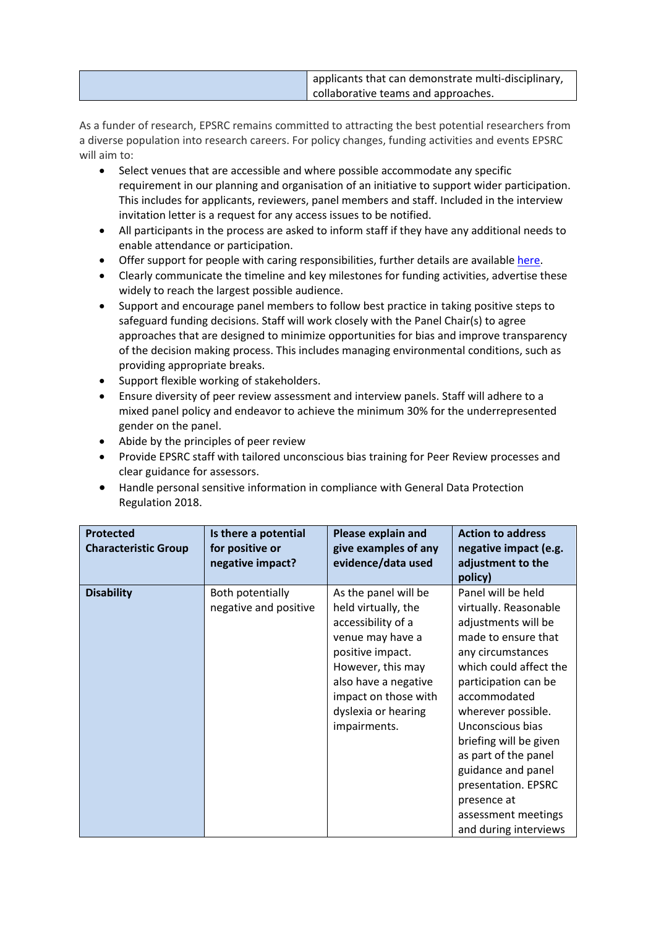| applicants that can demonstrate multi-disciplinary, |
|-----------------------------------------------------|
| collaborative teams and approaches.                 |

As a funder of research, EPSRC remains committed to attracting the best potential researchers from a diverse population into research careers. For policy changes, funding activities and events EPSRC will aim to:

- Select venues that are accessible and where possible accommodate any specific requirement in our planning and organisation of an initiative to support wider participation. This includes for applicants, reviewers, panel members and staff. Included in the interview invitation letter is a request for any access issues to be notified.
- All participants in the process are asked to inform staff if they have any additional needs to enable attendance or participation.
- Offer support for people with caring responsibilities, further details are available [here.](https://epsrc.ukri.org/funding/applicationprocess/basics/caringresponsibilities/)
- Clearly communicate the timeline and key milestones for funding activities, advertise these widely to reach the largest possible audience.
- Support and encourage panel members to follow best practice in taking positive steps to safeguard funding decisions. Staff will work closely with the Panel Chair(s) to agree approaches that are designed to minimize opportunities for bias and improve transparency of the decision making process. This includes managing environmental conditions, such as providing appropriate breaks.
- Support flexible working of stakeholders.
- Ensure diversity of peer review assessment and interview panels. Staff will adhere to a mixed panel policy and endeavor to achieve the minimum 30% for the underrepresented gender on the panel.
- Abide by the principles of peer review
- Provide EPSRC staff with tailored unconscious bias training for Peer Review processes and clear guidance for assessors.
- Handle personal sensitive information in compliance with General Data Protection Regulation 2018.

| <b>Protected</b><br><b>Characteristic Group</b> | Is there a potential<br>for positive or<br>negative impact? | <b>Please explain and</b><br>give examples of any<br>evidence/data used                                                                                                                                               | <b>Action to address</b><br>negative impact (e.g.<br>adjustment to the<br>policy)                                                                                                                                                                                                                                                                                                        |
|-------------------------------------------------|-------------------------------------------------------------|-----------------------------------------------------------------------------------------------------------------------------------------------------------------------------------------------------------------------|------------------------------------------------------------------------------------------------------------------------------------------------------------------------------------------------------------------------------------------------------------------------------------------------------------------------------------------------------------------------------------------|
| <b>Disability</b>                               | Both potentially<br>negative and positive                   | As the panel will be<br>held virtually, the<br>accessibility of a<br>venue may have a<br>positive impact.<br>However, this may<br>also have a negative<br>impact on those with<br>dyslexia or hearing<br>impairments. | Panel will be held<br>virtually. Reasonable<br>adjustments will be<br>made to ensure that<br>any circumstances<br>which could affect the<br>participation can be<br>accommodated<br>wherever possible.<br>Unconscious bias<br>briefing will be given<br>as part of the panel<br>guidance and panel<br>presentation. EPSRC<br>presence at<br>assessment meetings<br>and during interviews |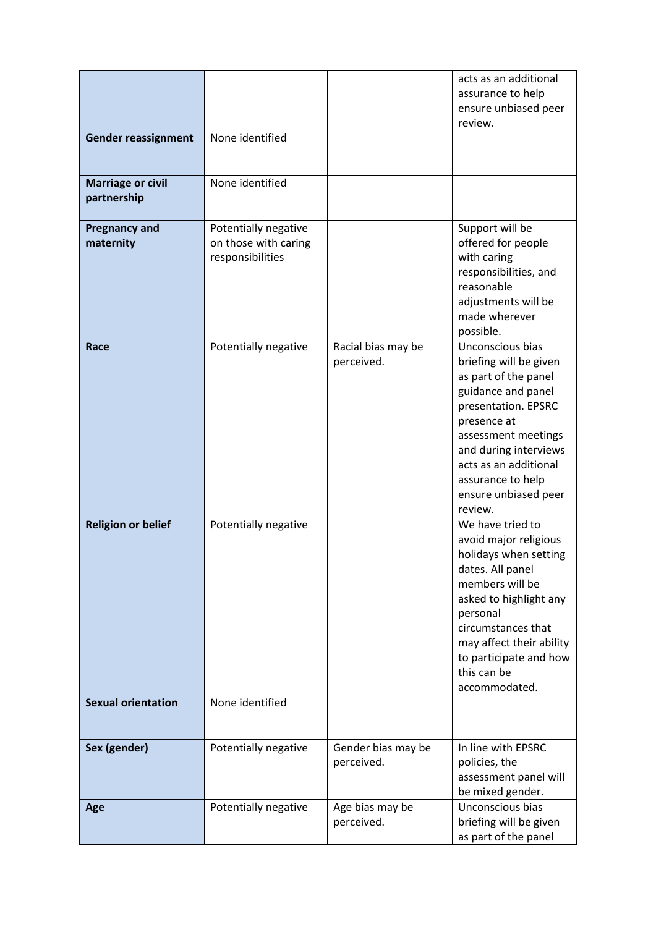|                                         |                                                                  |                                  | acts as an additional<br>assurance to help<br>ensure unbiased peer<br>review.                                                                                                                                                                                   |
|-----------------------------------------|------------------------------------------------------------------|----------------------------------|-----------------------------------------------------------------------------------------------------------------------------------------------------------------------------------------------------------------------------------------------------------------|
| <b>Gender reassignment</b>              | None identified                                                  |                                  |                                                                                                                                                                                                                                                                 |
| <b>Marriage or civil</b><br>partnership | None identified                                                  |                                  |                                                                                                                                                                                                                                                                 |
| <b>Pregnancy and</b><br>maternity       | Potentially negative<br>on those with caring<br>responsibilities |                                  | Support will be<br>offered for people<br>with caring<br>responsibilities, and<br>reasonable<br>adjustments will be<br>made wherever<br>possible.                                                                                                                |
| Race                                    | Potentially negative                                             | Racial bias may be<br>perceived. | Unconscious bias<br>briefing will be given<br>as part of the panel<br>guidance and panel<br>presentation. EPSRC<br>presence at<br>assessment meetings<br>and during interviews<br>acts as an additional<br>assurance to help<br>ensure unbiased peer<br>review. |
| <b>Religion or belief</b>               | Potentially negative                                             |                                  | We have tried to<br>avoid major religious<br>holidays when setting<br>dates. All panel<br>members will be<br>asked to highlight any<br>personal<br>circumstances that<br>may affect their ability<br>to participate and how<br>this can be<br>accommodated.     |
| <b>Sexual orientation</b>               | None identified                                                  |                                  |                                                                                                                                                                                                                                                                 |
| Sex (gender)                            | Potentially negative                                             | Gender bias may be<br>perceived. | In line with EPSRC<br>policies, the<br>assessment panel will<br>be mixed gender.                                                                                                                                                                                |
| Age                                     | Potentially negative                                             | Age bias may be<br>perceived.    | Unconscious bias<br>briefing will be given<br>as part of the panel                                                                                                                                                                                              |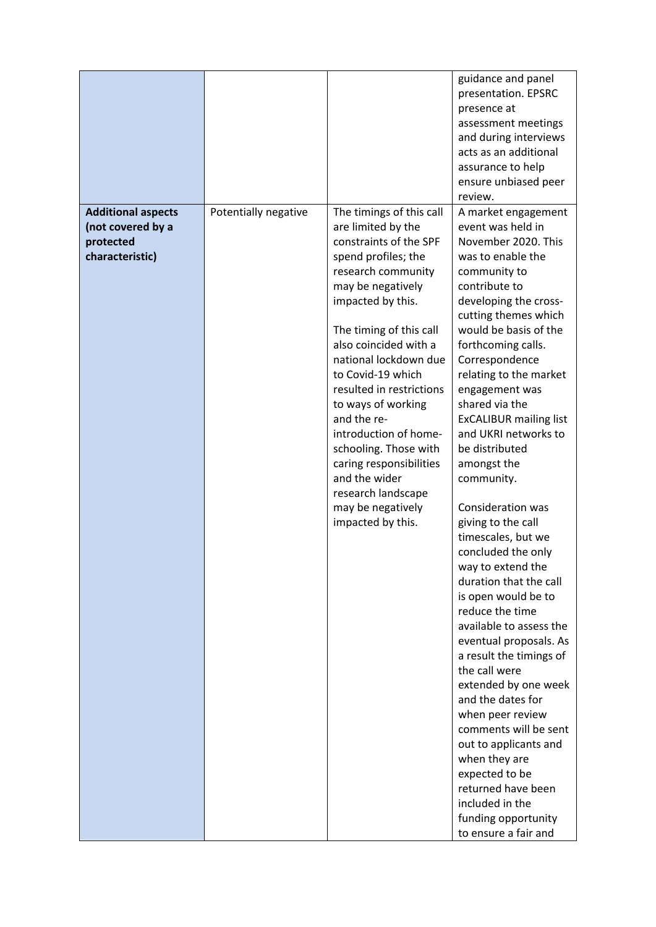| <b>Additional aspects</b>                         | Potentially negative | The timings of this call                                                                                                                                                                                                                                                                                                                                                                                                                                             | guidance and panel<br>presentation. EPSRC<br>presence at<br>assessment meetings<br>and during interviews<br>acts as an additional<br>assurance to help<br>ensure unbiased peer<br>review.<br>A market engagement                                                                                                                                                                                                                                                                                                                                                                                                                                                                                                                                                                                                                                                                                                      |
|---------------------------------------------------|----------------------|----------------------------------------------------------------------------------------------------------------------------------------------------------------------------------------------------------------------------------------------------------------------------------------------------------------------------------------------------------------------------------------------------------------------------------------------------------------------|-----------------------------------------------------------------------------------------------------------------------------------------------------------------------------------------------------------------------------------------------------------------------------------------------------------------------------------------------------------------------------------------------------------------------------------------------------------------------------------------------------------------------------------------------------------------------------------------------------------------------------------------------------------------------------------------------------------------------------------------------------------------------------------------------------------------------------------------------------------------------------------------------------------------------|
| (not covered by a<br>protected<br>characteristic) |                      | are limited by the<br>constraints of the SPF<br>spend profiles; the<br>research community<br>may be negatively<br>impacted by this.<br>The timing of this call<br>also coincided with a<br>national lockdown due<br>to Covid-19 which<br>resulted in restrictions<br>to ways of working<br>and the re-<br>introduction of home-<br>schooling. Those with<br>caring responsibilities<br>and the wider<br>research landscape<br>may be negatively<br>impacted by this. | event was held in<br>November 2020. This<br>was to enable the<br>community to<br>contribute to<br>developing the cross-<br>cutting themes which<br>would be basis of the<br>forthcoming calls.<br>Correspondence<br>relating to the market<br>engagement was<br>shared via the<br><b>ExCALIBUR mailing list</b><br>and UKRI networks to<br>be distributed<br>amongst the<br>community.<br>Consideration was<br>giving to the call<br>timescales, but we<br>concluded the only<br>way to extend the<br>duration that the call<br>is open would be to<br>reduce the time<br>available to assess the<br>eventual proposals. As<br>a result the timings of<br>the call were<br>extended by one week<br>and the dates for<br>when peer review<br>comments will be sent<br>out to applicants and<br>when they are<br>expected to be<br>returned have been<br>included in the<br>funding opportunity<br>to ensure a fair and |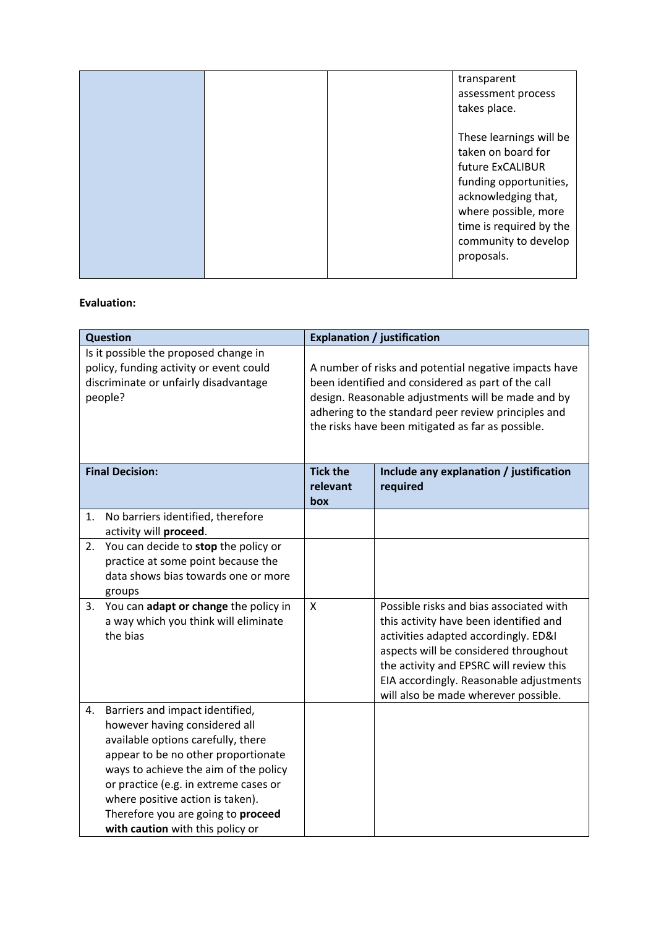|  | transparent<br>assessment process<br>takes place.                                                                                                                                                           |
|--|-------------------------------------------------------------------------------------------------------------------------------------------------------------------------------------------------------------|
|  | These learnings will be<br>taken on board for<br>future ExCALIBUR<br>funding opportunities,<br>acknowledging that,<br>where possible, more<br>time is required by the<br>community to develop<br>proposals. |

## **Evaluation:**

| <b>Question</b>                                                                                                                      |                                                                                                                                                                                                                                                                                                                                               | <b>Explanation / justification</b>                                                                                                                                                                                                                                            |                                                                                                                                                                                                                                                                                                  |  |
|--------------------------------------------------------------------------------------------------------------------------------------|-----------------------------------------------------------------------------------------------------------------------------------------------------------------------------------------------------------------------------------------------------------------------------------------------------------------------------------------------|-------------------------------------------------------------------------------------------------------------------------------------------------------------------------------------------------------------------------------------------------------------------------------|--------------------------------------------------------------------------------------------------------------------------------------------------------------------------------------------------------------------------------------------------------------------------------------------------|--|
| Is it possible the proposed change in<br>policy, funding activity or event could<br>discriminate or unfairly disadvantage<br>people? |                                                                                                                                                                                                                                                                                                                                               | A number of risks and potential negative impacts have<br>been identified and considered as part of the call<br>design. Reasonable adjustments will be made and by<br>adhering to the standard peer review principles and<br>the risks have been mitigated as far as possible. |                                                                                                                                                                                                                                                                                                  |  |
| <b>Final Decision:</b>                                                                                                               |                                                                                                                                                                                                                                                                                                                                               | <b>Tick the</b><br>relevant<br>box                                                                                                                                                                                                                                            | Include any explanation / justification<br>required                                                                                                                                                                                                                                              |  |
| 1.                                                                                                                                   | No barriers identified, therefore<br>activity will proceed.                                                                                                                                                                                                                                                                                   |                                                                                                                                                                                                                                                                               |                                                                                                                                                                                                                                                                                                  |  |
| 2.                                                                                                                                   | You can decide to stop the policy or<br>practice at some point because the<br>data shows bias towards one or more<br>groups                                                                                                                                                                                                                   |                                                                                                                                                                                                                                                                               |                                                                                                                                                                                                                                                                                                  |  |
| 3.                                                                                                                                   | You can adapt or change the policy in<br>a way which you think will eliminate<br>the bias                                                                                                                                                                                                                                                     | X                                                                                                                                                                                                                                                                             | Possible risks and bias associated with<br>this activity have been identified and<br>activities adapted accordingly. ED&I<br>aspects will be considered throughout<br>the activity and EPSRC will review this<br>EIA accordingly. Reasonable adjustments<br>will also be made wherever possible. |  |
| 4.                                                                                                                                   | Barriers and impact identified,<br>however having considered all<br>available options carefully, there<br>appear to be no other proportionate<br>ways to achieve the aim of the policy<br>or practice (e.g. in extreme cases or<br>where positive action is taken).<br>Therefore you are going to proceed<br>with caution with this policy or |                                                                                                                                                                                                                                                                               |                                                                                                                                                                                                                                                                                                  |  |